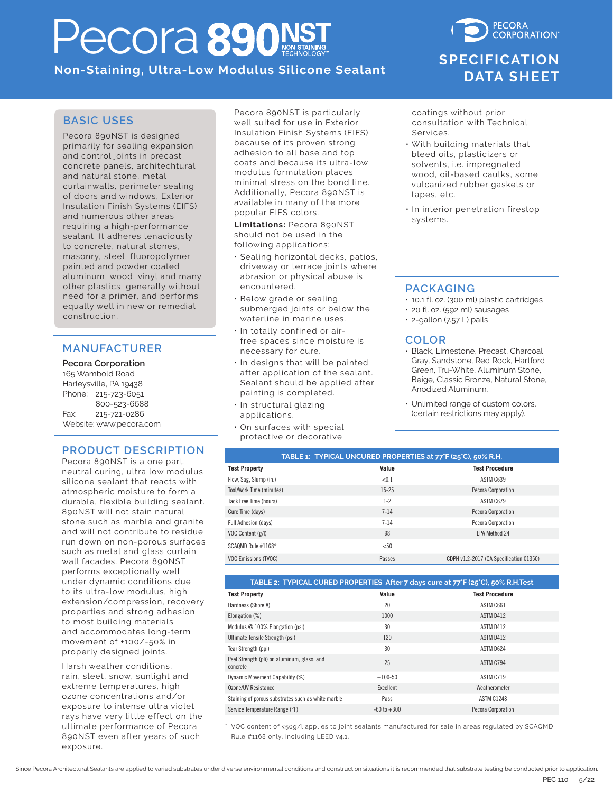# ecora 890NS

**Non-Staining, Ultra-Low Modulus Silicone Sealant**

### **PECORA CORPORATION SPECIFICATION SPECIFICATIONDATA SHEET DATA SHEET**

### **BASIC USES**

Pecora 890NST is designed primarily for sealing expansion and control joints in precast concrete panels, architechtural and natural stone, metal curtainwalls, perimeter sealing of doors and windows, Exterior Insulation Finish Systems (EIFS) and numerous other areas requiring a high-performance sealant. It adheres tenaciously to concrete, natural stones, masonry, steel, fluoropolymer painted and powder coated aluminum, wood, vinyl and many other plastics, generally without need for a primer, and performs equally well in new or remedial construction.

### **MANUFACTURER**

#### **Pecora Corporation**

165 Wambold Road Harleysville, PA 19438 Phone: 215-723-6051 800-523-6688 Fax: 215-721-0286 Website: www.pecora.com

#### **PRODUCT DESCRIPTION**

Pecora 890NST is a one part, neutral curing, ultra low modulus silicone sealant that reacts with atmospheric moisture to form a durable, flexible building sealant. 890NST will not stain natural stone such as marble and granite and will not contribute to residue run down on non-porous surfaces such as metal and glass curtain wall facades. Pecora 890NST performs exceptionally well under dynamic conditions due to its ultra-low modulus, high extension/compression, recovery properties and strong adhesion to most building materials and accommodates long-term movement of +100/-50% in properly designed joints.

Harsh weather conditions, rain, sleet, snow, sunlight and extreme temperatures, high ozone concentrations and/or exposure to intense ultra violet rays have very little effect on the ultimate performance of Pecora 890NST even after years of such exposure.

Pecora 890NST is particularly well suited for use in Exterior Insulation Finish Systems (EIFS) because of its proven strong adhesion to all base and top coats and because its ultra-low modulus formulation places minimal stress on the bond line. Additionally, Pecora 890NST is available in many of the more popular EIFS colors.

**Limitations:** Pecora 890NST should not be used in the following applications:

- Sealing horizontal decks, patios, driveway or terrace joints where abrasion or physical abuse is encountered.
- Below grade or sealing submerged joints or below the waterline in marine uses.
- In totally confined or airfree spaces since moisture is necessary for cure.
- In designs that will be painted after application of the sealant. Sealant should be applied after painting is completed.
- In structural glazing applications.
- On surfaces with special protective or decorative

coatings without prior consultation with Technical Services.

- With building materials that bleed oils, plasticizers or solvents, i.e. impregnated wood, oil-based caulks, some vulcanized rubber gaskets or tapes, etc.
- In interior penetration firestop systems.

### **PACKAGING**

- 10.1 fl. oz. (300 ml) plastic cartridges
- 20 fl. oz. (592 ml) sausages
- 2-gallon (7.57 L) pails

### **COLOR**

- Black, Limestone, Precast, Charcoal Gray, Sandstone, Red Rock, Hartford Green, Tru-White, Aluminum Stone, Beige, Classic Bronze, Natural Stone, Anodized Aluminum.
- Unlimited range of custom colors. (certain restrictions may apply).

| TABLE 1: TYPICAL UNCURED PROPERTIES at 77°F (25°C), 50% R.H. |           |                                         |  |
|--------------------------------------------------------------|-----------|-----------------------------------------|--|
| <b>Test Property</b>                                         | Value     | <b>Test Procedure</b>                   |  |
| Flow, Sag, Slump (in.)                                       | < 0.1     | ASTM C639                               |  |
| Tool/Work Time (minutes)                                     | $15 - 25$ | Pecora Corporation                      |  |
| Tack Free Time (hours)                                       | $1 - 2$   | ASTM C679                               |  |
| Cure Time (days)                                             | $7 - 14$  | Pecora Corporation                      |  |
| Full Adhesion (days)                                         | $7 - 14$  | Pecora Corporation                      |  |
| VOC Content (g/l)                                            | 98        | <b>EPA Method 24</b>                    |  |
| SCAQMD Rule #1168*                                           | < 50      |                                         |  |
| <b>VOC Emissions (TVOC)</b>                                  | Passes    | CDPH v1.2-2017 (CA Specification 01350) |  |

| TABLE 2: TYPICAL CURED PROPERTIES After 7 days cure at 77°F (25°C), 50% R.H.Test |                 |                       |  |
|----------------------------------------------------------------------------------|-----------------|-----------------------|--|
| <b>Test Property</b>                                                             | Value           | <b>Test Procedure</b> |  |
| Hardness (Shore A)                                                               | 20              | ASTM C661             |  |
| Elongation (%)                                                                   | 1000            | ASTM D412             |  |
| Modulus @ 100% Elongation (psi)                                                  | 30              | ASTM D412             |  |
| Ultimate Tensile Strength (psi)                                                  | 120             | ASTM D412             |  |
| Tear Strength (ppi)                                                              | 30              | ASTM D624             |  |
| Peel Strength (pli) on aluminum, glass, and<br>concrete                          | 25              | ASTM C794             |  |
| Dynamic Movement Capability (%)                                                  | $+100-50$       | ASTM C719             |  |
| Ozone/UV Resistance                                                              | Excellent       | Weatherometer         |  |
| Staining of porous substrates such as white marble                               | Pass            | <b>ASTM C1248</b>     |  |
| Service Temperature Range (°F)                                                   | $-60$ to $+300$ | Pecora Corporation    |  |

\* VOC content of <50g/l applies to joint sealants manufactured for sale in areas regulated by SCAQMD Rule #1168 only, including LEED v4.1.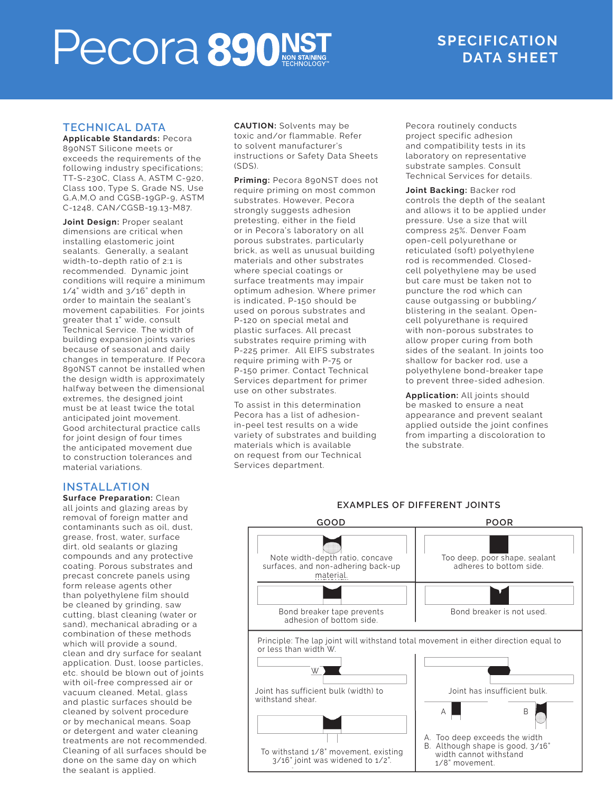# **PECORE SPECIFICATION**

### **4. TECHNICAL DATA TECHNICAL DATA**

**Applicable Standards:** Pecora 890NST Silicone meets or exceeds the requirements of the<br>following industry specifications; rotto anny malaotry oppolitications,<br>TT-S-230C, Class A, ASTM C-920, Class 100, Type S, Grade NS, Use G,A,M,O and CGSB-19GP-9, ASTM CAN/CGSB-19.13-M87. C-1248, CAN/CGSB-19.13-M87. exceeds the requirements of the

**Joint Design:** Proper sealant<br>dimensions are critical when annensions are entreat when<br>installing elastomeric joint sealants. Generally, a sealant width-to-depth ratio of 2:1 is no thinner than 1/8" (3 mm) for joints recommended. Dynamic joint conditions with equile a mimmum<br>1/4" width and 3/16" depth in If I width the grace depth in movement capabilities. For joints greater that 1" wide, consult expansion joints varies because of seasonal building expansion joints varies banding expansion joints varies.<br>because of seasonal and daily changes in temperature. If Pecora 890NST cannot be installed when the design width is approximately<br>. natiway between the differentional<br>extremes, the designed joint must be at least twice the total anticipated joint movement. Good architectural practice calls ror joint design or rour times<br>the anticipated movement due the annopated movement due<br>to construction tolerances and **Joint Design:** Proper sealant conditions will require a minimum Technical Service. The width of halfway between the dimensional for joint design of four times material variations.

### **5. INSTALLATION INSTALLATION**

**Surface Preparation:** Clean all joints and glazing areas by removat or foreign matter and<br>contaminants such as oil, dust, comammants saon as on, aast,<br>grease, frost, water, surface dirt, old sealants or glazing compounds and any protective coating. Porous substrates and<br>preceationary to popels using precast concrete panets asing<br>form release agents other than polyethylene film should be cleaned by grinding, saw cutting, blast cleaning (water or sand), mechanical abrading or a<br>combination of these methods which will provide a sound, clean and dry surface for sealant application. Dust, loose particles,<br>. ette shoutd be blown out or joints<br>with oil-free compressed air or mm on hoof compressor and st<br>vacuum cleaned. Metal, glass and plastic surfaces should be cleaned by solvent procedure or by mechanical means. Soap<br>or detergent and water cleaning creating on and water steaming<br>treatments are not recommended. Cleaning of all surfaces should be done on the same day on which removal of foreign matter and precast concrete panels using sand), mechanical abrading or a etc. should be blown out of joints or by mechanical means. Soap the sealant is applied.

**CAUTION:** Solvents may be the top and the pertoxic and/or flammable. Refer http:// to solvent manufacturer's  $\epsilon$ instructions or Safety Data Sheets<br><sup>(SDS)</sup> (SDS).

.<br>**Priming:** Pecora 890NST does not **Friming.** Hecora sydner does not<br>require priming on most common **Journal** adhesion pretend or in the field or in the field or in the field of the field of the field of the field of the strongly suggests adhesion pretesting, either in the field unusual building materials and other or in Pecora's laboratory on all porous substrates, particularly<br>brick, as well as unusual building materials and other substrates materials where special coatings or the communication. surface treatments may impair  $\qquad \qquad$  b optimum adhesion. Where primer but all precated, r-150 should be a controlled with the call of the controller call of the controller call of the<br>used on porous substrates and a biblioged by P-120 on special metal and control of the primer. plastic surfaces. All precast substrates require priming with all P-225 primer. All EIFS substrates. P-150 primer. Contact Technical base Services department for primer to use on other substrates. porous substrates, particularly is indicated, P-150 should be require priming with P-75 or

To assist in this determination Pecora has a list of adhesion-<br> m pect test results on a wrac<br>variety of substrates and building fr  $\overline{\phantom{a}}$  materials which is available on request from our Technical Services department. in-peel test results on a wide

Pecora routinely conducts project specific adhesion and compatibility tests in its laboratory on representative substrate samples. Consult<br>Technical Services for details. substrate samples. Consult

**Joint Backing:** Backer rod **bolit Backing**. Backer fou<br>controls the depth of the sealant be the copulation of the beatant.<br>and allows it to be applied under pressure. Use a size that will compress 25%. Denver Foam open-cell polyurethane or<br>open-cell polyurethane or renculated (sort) potyemytene<br>rod is recommended. Closed-. Is a fecommonacal croced<br>cell polyethylene may be used but care must be taken not to puncture the rod which can cause outgassing or bubbling.<br>blistering in the sealant. Opento entering in the examing spental substitution of the set and prevention of the set of the set of the set of the s with non-porous substrates to allow proper curing from both sides of the sealant. In joints too reticulated (soft) polyethylene cause outgassing or bubbling/ shallow for backer rod, use a polyethylene bond-breaker tape to prevent three-sided adhesion.

**Application:** All joints should be masked to ensure a neat appearance and prevent sealant applied outside the joint confines from imparting a discoloration to the substrate.



#### **EXAMPLES OF DIFFERENT JOINTS**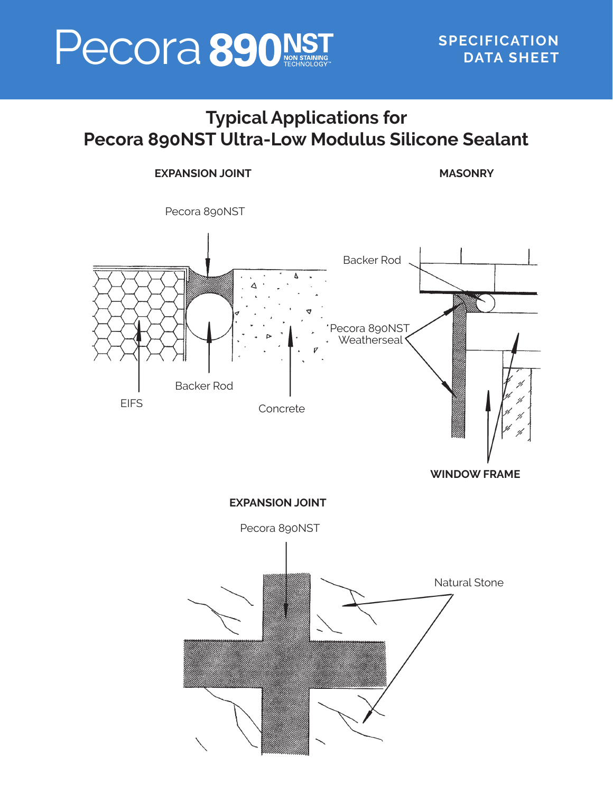# Pecora **890 NST** SPECIFICATION

**EXPANSION JOINT** 

**MASONRY**

# **Typical Applications for Pecora 890NST Ultra-Low Modulus Silicone Sealant**

# Pecora 890NST Pecora 890NST Weatherseal<sup></sup> **EIFS** Backer Rod Concrete Backer Rod

**WINDOW FRAME**

**EXPANSION JOINT**  Pecora 890NST Natural Stone